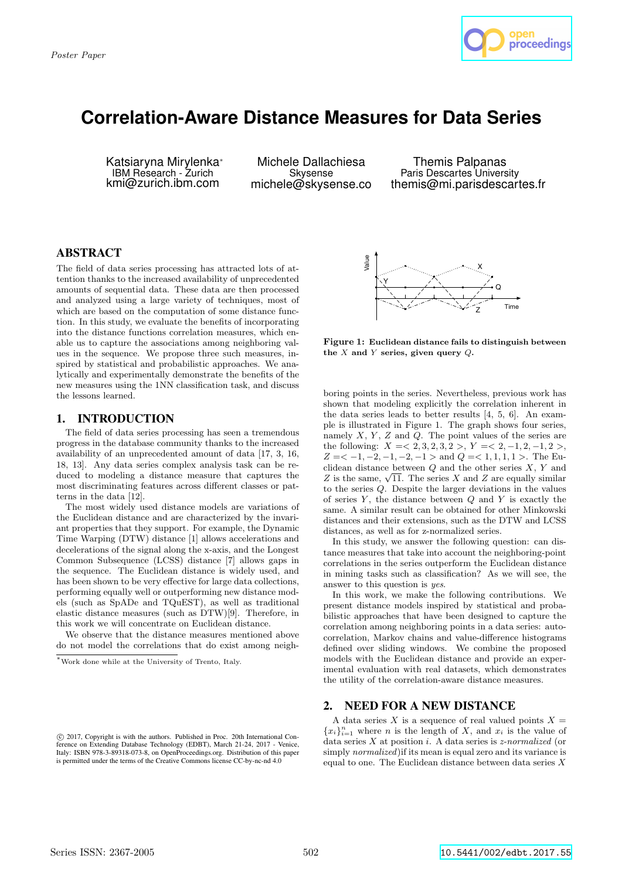

# **Correlation-Aware Distance Measures for Data Series**

Katsiaryna Mirylenka<sup>∗</sup> IBM Research - Zurich kmi@zurich.ibm.com

Michele Dallachiesa Skysense michele@skysense.co

Themis Palpanas Paris Descartes University themis@mi.parisdescartes.fr

# ABSTRACT

The field of data series processing has attracted lots of attention thanks to the increased availability of unprecedented amounts of sequential data. These data are then processed and analyzed using a large variety of techniques, most of which are based on the computation of some distance function. In this study, we evaluate the benefits of incorporating into the distance functions correlation measures, which enable us to capture the associations among neighboring values in the sequence. We propose three such measures, inspired by statistical and probabilistic approaches. We analytically and experimentally demonstrate the benefits of the new measures using the 1NN classification task, and discuss the lessons learned.

# 1. INTRODUCTION

The field of data series processing has seen a tremendous progress in the database community thanks to the increased availability of an unprecedented amount of data [17, 3, 16, 18, 13]. Any data series complex analysis task can be reduced to modeling a distance measure that captures the most discriminating features across different classes or patterns in the data [12].

The most widely used distance models are variations of the Euclidean distance and are characterized by the invariant properties that they support. For example, the Dynamic Time Warping (DTW) distance [1] allows accelerations and decelerations of the signal along the x-axis, and the Longest Common Subsequence (LCSS) distance [7] allows gaps in the sequence. The Euclidean distance is widely used, and has been shown to be very effective for large data collections, performing equally well or outperforming new distance models (such as SpADe and TQuEST), as well as traditional elastic distance measures (such as DTW)[9]. Therefore, in this work we will concentrate on Euclidean distance.

We observe that the distance measures mentioned above do not model the correlations that do exist among neigh-



Figure 1: Euclidean distance fails to distinguish between the  $X$  and  $Y$  series, given query  $Q$ .

boring points in the series. Nevertheless, previous work has shown that modeling explicitly the correlation inherent in the data series leads to better results [4, 5, 6]. An example is illustrated in Figure 1. The graph shows four series, namely  $X, Y, Z$  and  $Q$ . The point values of the series are the following:  $X = <2, 3, 2, 3, 2>, Y = <2, -1, 2, -1, 2,$  $Z = \langle -1, -2, -1, -2, -1 \rangle$  and  $Q = \langle 1, 1, 1, 1 \rangle$ . The Euclidean distance between  $Q$  and the other series  $X, Y$  and Z is the same,  $\sqrt{11}$ . The series X and Z are equally similar to the series Q. Despite the larger deviations in the values of series  $Y$ , the distance between  $Q$  and  $Y$  is exactly the same. A similar result can be obtained for other Minkowski distances and their extensions, such as the DTW and LCSS distances, as well as for z-normalized series.

In this study, we answer the following question: can distance measures that take into account the neighboring-point correlations in the series outperform the Euclidean distance in mining tasks such as classification? As we will see, the answer to this question is yes.

In this work, we make the following contributions. We present distance models inspired by statistical and probabilistic approaches that have been designed to capture the correlation among neighboring points in a data series: autocorrelation, Markov chains and value-difference histograms defined over sliding windows. We combine the proposed models with the Euclidean distance and provide an experimental evaluation with real datasets, which demonstrates the utility of the correlation-aware distance measures.

# 2. NEED FOR A NEW DISTANCE

A data series  $X$  is a sequence of real valued points  $X =$  ${x_i}_{i=1}^n$  where *n* is the length of *X*, and  $x_i$  is the value of data series  $X$  at position  $i$ . A data series is *z*-normalized (or simply normalized)if its mean is equal zero and its variance is equal to one. The Euclidean distance between data series  $X$ 

<sup>∗</sup>Work done while at the University of Trento, Italy.

c 2017, Copyright is with the authors. Published in Proc. 20th International Conference on Extending Database Technology (EDBT), March 21-24, 2017 - Venice, Italy: ISBN 978-3-89318-073-8, on OpenProceedings.org. Distribution of this paper is permitted under the terms of the Creative Commons license CC-by-nc-nd 4.0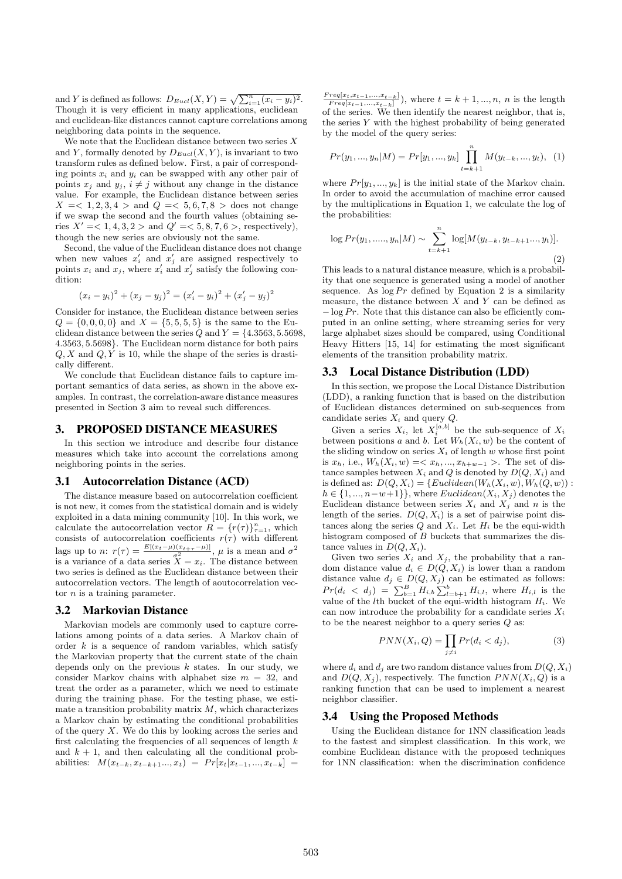and Y is defined as follows:  $D_{Eucl}(X, Y) = \sqrt{\sum_{i=1}^{n}(x_i - y_i)^2}$ . Though it is very efficient in many applications, euclidean and euclidean-like distances cannot capture correlations among neighboring data points in the sequence.

We note that the Euclidean distance between two series  $X$ and Y, formally denoted by  $D_{Eucl}(X, Y)$ , is invariant to two transform rules as defined below. First, a pair of corresponding points  $x_i$  and  $y_i$  can be swapped with any other pair of points  $x_i$  and  $y_i$ ,  $i \neq j$  without any change in the distance value. For example, the Euclidean distance between series  $X = \langle 1, 2, 3, 4 \rangle$  and  $Q = \langle 5, 6, 7, 8 \rangle$  does not change if we swap the second and the fourth values (obtaining series  $X' = <1, 4, 3, 2 >$  and  $Q' = <5, 8, 7, 6 >$ , respectively), though the new series are obviously not the same.

Second, the value of the Euclidean distance does not change when new values  $x'_i$  and  $x'_j$  are assigned respectively to points  $x_i$  and  $x_j$ , where  $x'_i$  and  $x'_j$  satisfy the following condition:

$$
(x_i - y_i)^2 + (x_j - y_j)^2 = (x'_i - y_i)^2 + (x'_j - y_j)^2
$$

Consider for instance, the Euclidean distance between series  $Q = \{0, 0, 0, 0\}$  and  $X = \{5, 5, 5, 5\}$  is the same to the Euclidean distance between the series Q and  $Y = \{4.3563, 5.5698,$ 4.3563, 5.5698}. The Euclidean norm distance for both pairs  $Q, X$  and  $Q, Y$  is 10, while the shape of the series is drastically different.

We conclude that Euclidean distance fails to capture important semantics of data series, as shown in the above examples. In contrast, the correlation-aware distance measures presented in Section 3 aim to reveal such differences.

## 3. PROPOSED DISTANCE MEASURES

In this section we introduce and describe four distance measures which take into account the correlations among neighboring points in the series.

#### 3.1 Autocorrelation Distance (ACD)

The distance measure based on autocorrelation coefficient is not new, it comes from the statistical domain and is widely exploited in a data mining community [10]. In this work, we calculate the autocorrelation vector  $R = \{r(\tau)\}_{\tau=1}^n$ , which consists of autocorrelation coefficients  $r(\tau)$  with different lags up to n:  $r(\tau) = \frac{E[(x_t - \mu)(x_t + \tau - \mu)]}{\sigma^2}$ ,  $\mu$  is a mean and  $\sigma^2$ is a variance of a data series  $\overline{X} = x_i$ . The distance between two series is defined as the Euclidean distance between their autocorrelation vectors. The length of aoutocorrelation vector  $n$  is a training parameter.

#### 3.2 Markovian Distance

Markovian models are commonly used to capture correlations among points of a data series. A Markov chain of order  $k$  is a sequence of random variables, which satisfy the Markovian property that the current state of the chain depends only on the previous  $k$  states. In our study, we consider Markov chains with alphabet size  $m = 32$ , and treat the order as a parameter, which we need to estimate during the training phase. For the testing phase, we estimate a transition probability matrix  $M$ , which characterizes a Markov chain by estimating the conditional probabilities of the query  $X$ . We do this by looking across the series and first calculating the frequencies of all sequences of length  $k$ and  $k + 1$ , and then calculating all the conditional probabilities:  $M(x_{t-k}, x_{t-k+1}..., x_t) = Pr[x_t | x_{t-1}, ..., x_{t-k}] =$ 

 $\frac{Freq[x_t, x_{t-1},...,x_{t-k}]}{Freq[x_{t-1},...,x_{t-k}]})$ , where  $t = k+1,...,n$ , *n* is the length of the series. We then identify the nearest neighbor, that is, the series  $Y$  with the highest probability of being generated by the model of the query series:

$$
Pr(y_1, ..., y_n | M) = Pr[y_1, ..., y_k] \prod_{t=k+1}^{n} M(y_{t-k}, ..., y_t), \quad (1)
$$

where  $Pr[y_1, ..., y_k]$  is the initial state of the Markov chain. In order to avoid the accumulation of machine error caused by the multiplications in Equation 1, we calculate the log of the probabilities:

$$
\log Pr(y_1, \dots, y_n | M) \sim \sum_{t=k+1}^n \log[M(y_{t-k}, y_{t-k+1}, \dots, y_t)].
$$
\n(2)

This leads to a natural distance measure, which is a probability that one sequence is generated using a model of another sequence. As  $\log Pr$  defined by Equation 2 is a similarity measure, the distance between  $X$  and  $Y$  can be defined as  $-\log Pr$ . Note that this distance can also be efficiently computed in an online setting, where streaming series for very large alphabet sizes should be compared, using Conditional Heavy Hitters [15, 14] for estimating the most significant elements of the transition probability matrix.

## 3.3 Local Distance Distribution (LDD)

In this section, we propose the Local Distance Distribution (LDD), a ranking function that is based on the distribution of Euclidean distances determined on sub-sequences from candidate series  $X_i$  and query  $Q$ .

Given a series  $X_i$ , let  $X_i^{[a,b]}$  be the sub-sequence of  $X_i$ between positions a and b. Let  $W_h(X_i, w)$  be the content of the sliding window on series  $X_i$  of length w whose first point is  $x_h$ , i.e.,  $W_h(X_i, w) = \langle x_h, ..., x_{h+w-1} \rangle$ . The set of distance samples between  $X_i$  and  $Q$  is denoted by  $D(Q, X_i)$  and is defined as:  $D(Q, X_i) = \{Euclidean(W_h(X_i, w), W_h(Q, w))$ :  $h \in \{1, ..., n-w+1\}$ , where  $Euclidean(X_i, X_j)$  denotes the Euclidean distance between series  $X_i$  and  $X_j$  and n is the length of the series.  $D(Q, X_i)$  is a set of pairwise point distances along the series  $Q$  and  $X_i$ . Let  $H_i$  be the equi-width histogram composed of B buckets that summarizes the distance values in  $D(Q, X_i)$ .

Given two series  $X_i$  and  $X_j$ , the probability that a random distance value  $d_i \in D(Q, X_i)$  is lower than a random distance value  $d_j \in D(Q, X_j)$  can be estimated as follows:  $Pr(d_i \, < d_j) = \sum_{b=1}^{B} H_{i,b} \sum_{l=b+1}^{b} H_{i,l}$ , where  $H_{i,l}$  is the value of the *l*th bucket of the equi-width histogram  $H_i$ . We can now introduce the probability for a candidate series  $X_i$ to be the nearest neighbor to a query series  $Q$  as:

$$
PNN(X_i, Q) = \prod_{j \neq i} Pr(d_i < d_j),\tag{3}
$$

where  $d_i$  and  $d_j$  are two random distance values from  $D(Q, X_i)$ and  $D(Q, X_j)$ , respectively. The function  $PNN(X_i, Q)$  is a ranking function that can be used to implement a nearest neighbor classifier.

#### 3.4 Using the Proposed Methods

Using the Euclidean distance for 1NN classification leads to the fastest and simplest classification. In this work, we combine Euclidean distance with the proposed techniques for 1NN classification: when the discrimination confidence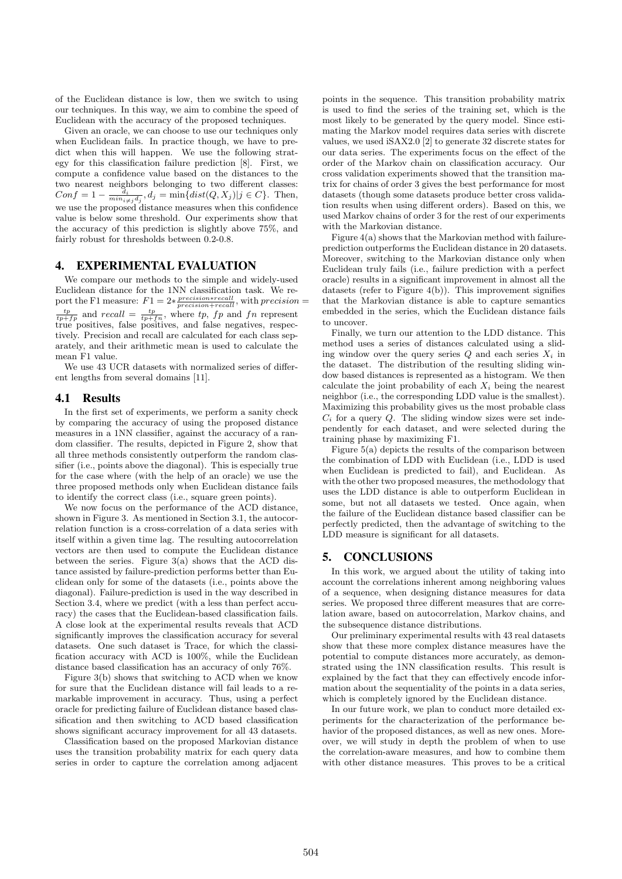of the Euclidean distance is low, then we switch to using our techniques. In this way, we aim to combine the speed of Euclidean with the accuracy of the proposed techniques.

Given an oracle, we can choose to use our techniques only when Euclidean fails. In practice though, we have to predict when this will happen. We use the following strategy for this classification failure prediction [8]. First, we compute a confidence value based on the distances to the two nearest neighbors belonging to two different classes:  $Conf = 1 - \frac{d_i}{min_{i \neq j} d_j}, d_j = \min\{dist(Q, X_j)|j \in C\}.$  Then, we use the proposed distance measures when this confidence value is below some threshold. Our experiments show that the accuracy of this prediction is slightly above 75%, and fairly robust for thresholds between 0.2-0.8.

## 4. EXPERIMENTAL EVALUATION

We compare our methods to the simple and widely-used Euclidean distance for the 1NN classification task. We report the F1 measure:  $F1 = 2 * \frac{precision * recall}{precision * recall}$ , with precision =  $\frac{tp}{tp+fp}$  and recall =  $\frac{tp}{tp+fn}$ , where tp, fp and fn represent true positives, false positives, and false negatives, respectively. Precision and recall are calculated for each class separately, and their arithmetic mean is used to calculate the mean F1 value.

We use 43 UCR datasets with normalized series of different lengths from several domains [11].

#### 4.1 Results

In the first set of experiments, we perform a sanity check by comparing the accuracy of using the proposed distance measures in a 1NN classifier, against the accuracy of a random classifier. The results, depicted in Figure 2, show that all three methods consistently outperform the random classifier (i.e., points above the diagonal). This is especially true for the case where (with the help of an oracle) we use the three proposed methods only when Euclidean distance fails to identify the correct class (i.e., square green points).

We now focus on the performance of the ACD distance, shown in Figure 3. As mentioned in Section 3.1, the autocorrelation function is a cross-correlation of a data series with itself within a given time lag. The resulting autocorrelation vectors are then used to compute the Euclidean distance between the series. Figure 3(a) shows that the ACD distance assisted by failure-prediction performs better than Euclidean only for some of the datasets (i.e., points above the diagonal). Failure-prediction is used in the way described in Section 3.4, where we predict (with a less than perfect accuracy) the cases that the Euclidean-based classification fails. A close look at the experimental results reveals that ACD significantly improves the classification accuracy for several datasets. One such dataset is Trace, for which the classification accuracy with ACD is 100%, while the Euclidean distance based classification has an accuracy of only 76%.

Figure 3(b) shows that switching to ACD when we know for sure that the Euclidean distance will fail leads to a remarkable improvement in accuracy. Thus, using a perfect oracle for predicting failure of Euclidean distance based classification and then switching to ACD based classification shows significant accuracy improvement for all 43 datasets.

Classification based on the proposed Markovian distance uses the transition probability matrix for each query data series in order to capture the correlation among adjacent points in the sequence. This transition probability matrix is used to find the series of the training set, which is the most likely to be generated by the query model. Since estimating the Markov model requires data series with discrete values, we used iSAX2.0 [2] to generate 32 discrete states for our data series. The experiments focus on the effect of the order of the Markov chain on classification accuracy. Our cross validation experiments showed that the transition matrix for chains of order 3 gives the best performance for most datasets (though some datasets produce better cross validation results when using different orders). Based on this, we used Markov chains of order 3 for the rest of our experiments with the Markovian distance.

Figure 4(a) shows that the Markovian method with failureprediction outperforms the Euclidean distance in 20 datasets. Moreover, switching to the Markovian distance only when Euclidean truly fails (i.e., failure prediction with a perfect oracle) results in a significant improvement in almost all the datasets (refer to Figure 4(b)). This improvement signifies that the Markovian distance is able to capture semantics embedded in the series, which the Euclidean distance fails to uncover.

Finally, we turn our attention to the LDD distance. This method uses a series of distances calculated using a sliding window over the query series  $Q$  and each series  $X_i$  in the dataset. The distribution of the resulting sliding window based distances is represented as a histogram. We then calculate the joint probability of each  $X_i$  being the nearest neighbor (i.e., the corresponding LDD value is the smallest). Maximizing this probability gives us the most probable class  $C_i$  for a query Q. The sliding window sizes were set independently for each dataset, and were selected during the training phase by maximizing F1.

Figure 5(a) depicts the results of the comparison between the combination of LDD with Euclidean (i.e., LDD is used when Euclidean is predicted to fail), and Euclidean. As with the other two proposed measures, the methodology that uses the LDD distance is able to outperform Euclidean in some, but not all datasets we tested. Once again, when the failure of the Euclidean distance based classifier can be perfectly predicted, then the advantage of switching to the LDD measure is significant for all datasets.

# 5. CONCLUSIONS

In this work, we argued about the utility of taking into account the correlations inherent among neighboring values of a sequence, when designing distance measures for data series. We proposed three different measures that are correlation aware, based on autocorrelation, Markov chains, and the subsequence distance distributions.

Our preliminary experimental results with 43 real datasets show that these more complex distance measures have the potential to compute distances more accurately, as demonstrated using the 1NN classification results. This result is explained by the fact that they can effectively encode information about the sequentiality of the points in a data series, which is completely ignored by the Euclidean distance.

In our future work, we plan to conduct more detailed experiments for the characterization of the performance behavior of the proposed distances, as well as new ones. Moreover, we will study in depth the problem of when to use the correlation-aware measures, and how to combine them with other distance measures. This proves to be a critical